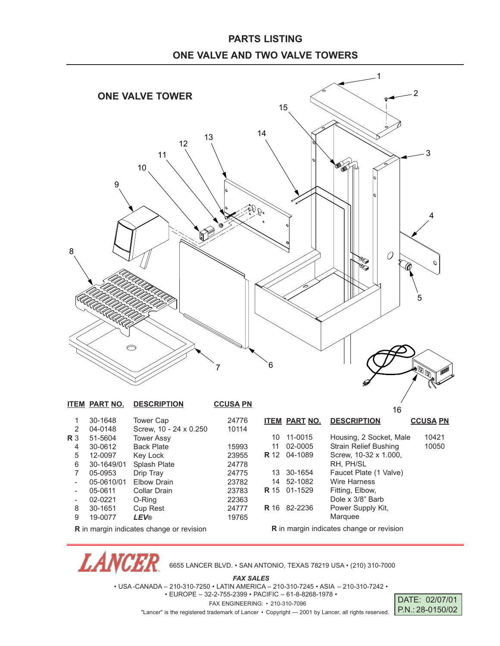## **PARTS LISTING ONE VALVE AND TWO VALVE TOWERS**



**R** in margin indicates change or revision

*LANCE* 

6655 LANCER BLVD. • SAN ANTONIO, TEXAS 78219 USA • (210) 310-7000

*FAX SALES*

• USA -CANADA – 210-310-7250 • LATIN AMERICA – 210-310-7245 • ASIA – 210-310-7242 •

• EUROPE – 32-2-755-2399 • PACIFIC – 61-8-8268-1978 • FAX ENGINEERING: • 210-310-7096

"Lancer" is the registered trademark of Lancer • Copyright — 2001 by Lancer, all rights reserved.

DATE: 02/07/01 P.N.: 28-0150/02